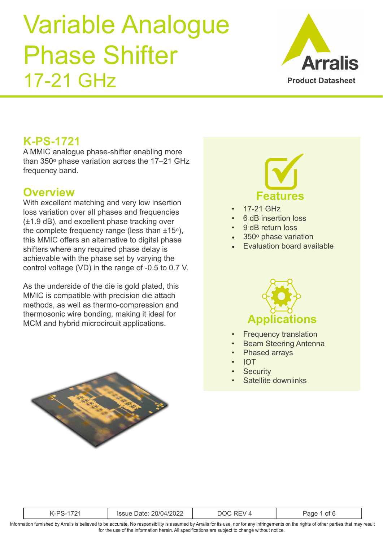

### **K-PS-1721**

A MMIC analogue phase-shifter enabling more than  $350^\circ$  phase variation across the  $17-21$  GHz frequency band.

#### **Overview**

With excellent matching and very low insertion loss variation over all phases and frequencies (±1.9 dB), and excellent phase tracking over the complete frequency range (less than  $\pm 15^\circ$ ), this MMIC offers an alternative to digital phase shifters where any required phase delay is achievable with the phase set by varying the control voltage (VD) in the range of -0.5 to 0.7 V.

As the underside of the die is gold plated, this MMIC is compatible with precision die attach methods, as well as thermo-compression and thermosonic wire bonding, making it ideal for MCM and hybrid microcircuit applications.





- 17-21 GHz
- 6 dB insertion loss
- 9 dB return loss
- 350<sup>°</sup> phase variation
- Evaluation board available



- **Frequency translation**
- Beam Steering Antenna
- Phased arrays
- IOT
- **Security**
- Satellite downlinks

|                                                                                                                                                                                                                                                                                               | K-PS-1721 | Issue Date: 20/04/2022 | DOC REV 4 | Page 1 of 6 |  |  |
|-----------------------------------------------------------------------------------------------------------------------------------------------------------------------------------------------------------------------------------------------------------------------------------------------|-----------|------------------------|-----------|-------------|--|--|
| Information furnished by Arralis is believed to be accurate. No responsibility is assumed by Arralis for its use, nor for any infringements on the rights of other parties that may result<br>for the use of the information herein. All specifications are subject to change without notice. |           |                        |           |             |  |  |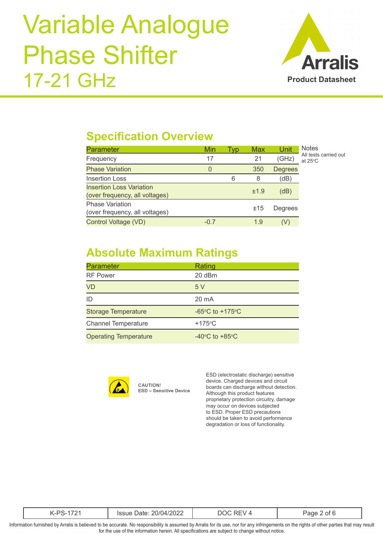

## **Specification Overview**

| <b>Parameter</b>                                                  | Min    | Tvp | Max  | Unit           | <b>Notes</b>                               |
|-------------------------------------------------------------------|--------|-----|------|----------------|--------------------------------------------|
| Frequency                                                         | 17     |     | 21   | (GHz)          | All tests carried out<br>at $25^{\circ}$ C |
| <b>Phase Variation</b>                                            | 0      |     | 350  | <b>Degrees</b> |                                            |
| Insertion Loss                                                    |        | 6   | 8    | (dB)           |                                            |
| <b>Insertion Loss Variation</b><br>(over frequency, all voltages) |        |     | ±1.9 | (dB)           |                                            |
| <b>Phase Variation</b><br>(over frequency, all voltages)          |        |     | ±15  | Degrees        |                                            |
| Control Voltage (VD)                                              | $-0.7$ |     | 1.9  |                |                                            |

## **Absolute Maximum Ratings**

| Parameter                    | Rating                                                |
|------------------------------|-------------------------------------------------------|
| <b>RF Power</b>              | 20 dBm                                                |
| VD                           | 5V                                                    |
| ID                           | 20 mA                                                 |
| <b>Storage Temperature</b>   | -65 $\mathrm{^{\circ}C}$ to +175 $\mathrm{^{\circ}C}$ |
| <b>Channel Temperature</b>   | $+175^{\circ}$ C                                      |
| <b>Operating Temperature</b> | $-40^{\circ}$ C to $+85^{\circ}$ C                    |



**CAUTION! ESD - Sensitive Device**  ESD (electrostatic discharge) sensitive device. Charged devices and circuit boards can discharge without detection. Although this product features proprietary protection circuitry, damage may occur on devices subjected to ESD. Proper ESD precautions should be taken to avoid performance degradation or loss of functionality.

|--|--|

Information furnished by Arralis is believed to be accurate. No responsibility is assumed by Arralis for its use, nor for any infringements on the rights of other parties that may result for the use of the information herein. All specifications are subject to change without notice.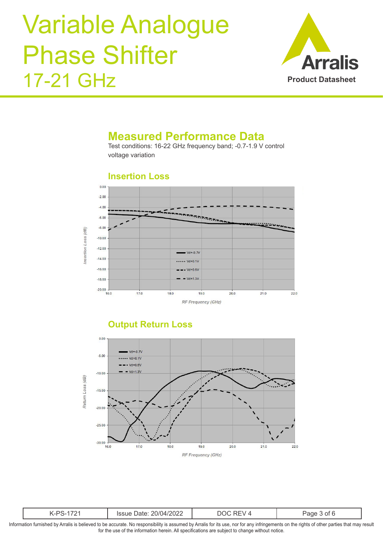

#### **Measured Performance Data**

Test conditions: 16-22 GHz frequency band; -0.7-1.9 V control voltage variation

#### **Insertion Loss**



#### **Output Return Loss**



|--|--|--|--|--|

Information furnished by Arralis is believed to be accurate. No responsibility is assumed by Arralis for its use, nor for any infringements on the rights of other parties that may result for the use of the information herein. All specifications are subject to change without notice.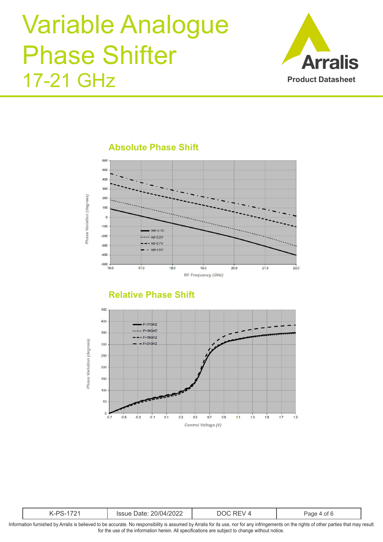

**Absolute Phase Shift**



#### **Relative Phase Shift**



|  | .<br>- 14<br>$\frac{1}{2}$<br>UZZ<br>$\frac{1}{2}$ |  |
|--|----------------------------------------------------|--|
|  |                                                    |  |

Information furnished by Arralis is believed to be accurate. No responsibility is assumed by Arralis for its use, nor for any infringements on the rights of other parties that may result for the use of the information herein. All specifications are subject to change without notice.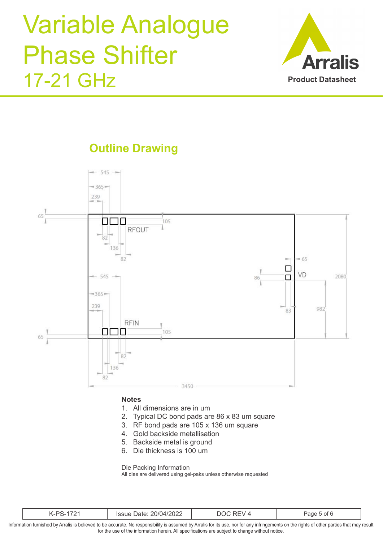

**Outline Drawing**



#### **Notes**

- 1. All dimensions are in um
- 2. Typical DC bond pads are 86 x 83 um square
- 3. RF bond pads are 105 x 136 um square
- 4. Gold backside metallisation
- 5. Backside metal is ground
- 6. Die thickness is 100 um

Die Packing Information

All dies are delivered using gel-paks unless otherwise requested

| $\sim$<br>20/04/2022<br>.<br>'ssue<br>-<br><i>J</i> alt. | $\mathbf{r}$<br>M | -<br>$\lambda$<br>ot I<br>'ane |
|----------------------------------------------------------|-------------------|--------------------------------|
|----------------------------------------------------------|-------------------|--------------------------------|

Information furnished by Arralis is believed to be accurate. No responsibility is assumed by Arralis for its use, nor for any infringements on the rights of other parties that may result for the use of the information herein. All specifications are subject to change without notice.